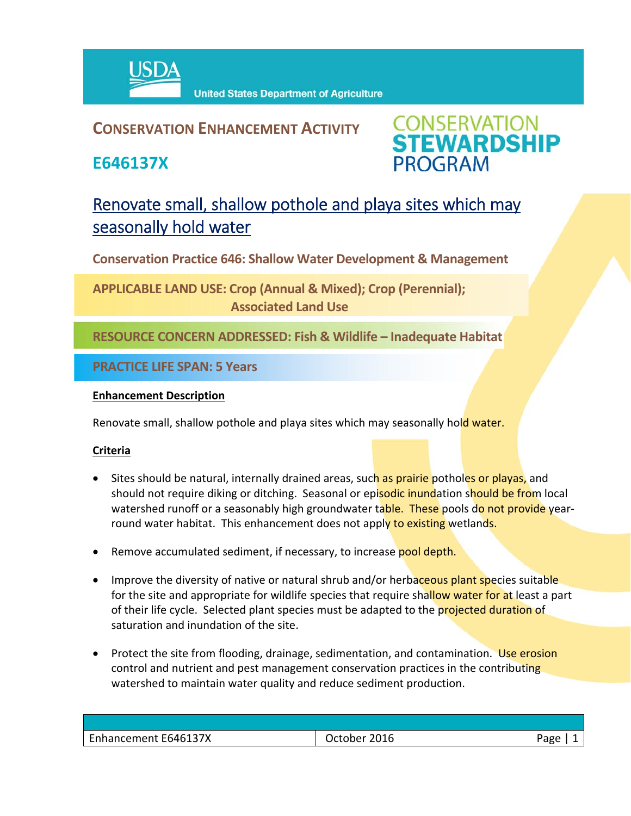

### **CONSERVATION ENHANCEMENT ACTIVITY**

**E646137X**



## Renovate small, shallow pothole and playa sites which may seasonally hold water

**Conservation Practice 646: Shallow Water Development & Management** 

**APPLICABLE LAND USE: Crop (Annual & Mixed); Crop (Perennial); Associated Land Use** 

**RESOURCE CONCERN ADDRESSED: Fish & Wildlife – Inadequate Habitat**

**PRACTICE LIFE SPAN: 5 Years**

#### **Enhancement Description**

Renovate small, shallow pothole and playa sites which may seasonally hold water.

#### **Criteria**

- Sites should be natural, internally drained areas, such as prairie potholes or playas, and should not require diking or ditching. Seasonal or episodic inundation should be from local watershed runoff or a seasonably high groundwater table. These pools do not provide yearround water habitat. This enhancement does not apply to existing wetlands.
- Remove accumulated sediment, if necessary, to increase pool depth.
- Improve the diversity of native or natural shrub and/or herbaceous plant species suitable for the site and appropriate for wildlife species that require shallow water for at least a part of their life cycle. Selected plant species must be adapted to the projected duration of saturation and inundation of the site.
- Protect the site from flooding, drainage, sedimentation, and contamination. Use erosion control and nutrient and pest management conservation practices in the contributing watershed to maintain water quality and reduce sediment production.

| Enhancement E646137X | 2016<br>October | Aמגי |
|----------------------|-----------------|------|